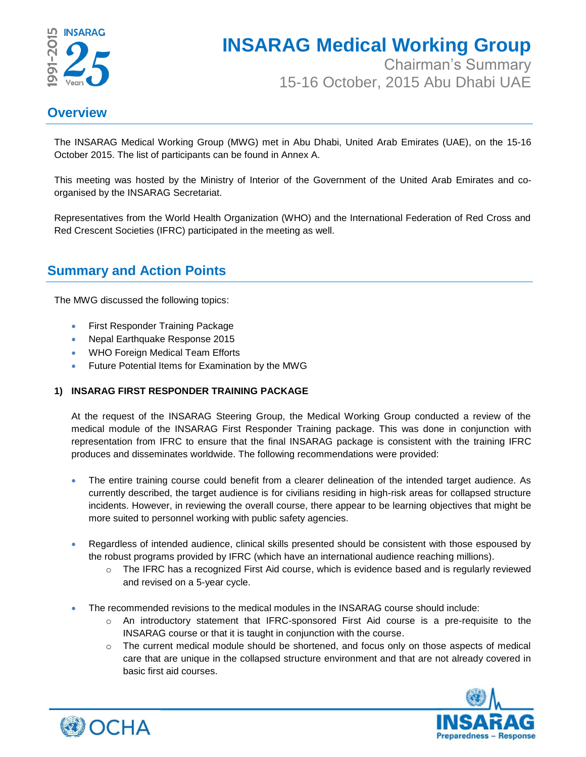

# **INSARAG Medical Working Group**

Chairman's Summary 15-16 October, 2015 Abu Dhabi UAE

### **Overview**

The INSARAG Medical Working Group (MWG) met in Abu Dhabi, United Arab Emirates (UAE), on the 15-16 October 2015. The list of participants can be found in Annex A.

This meeting was hosted by the Ministry of Interior of the Government of the United Arab Emirates and coorganised by the INSARAG Secretariat.

Representatives from the World Health Organization (WHO) and the International Federation of Red Cross and Red Crescent Societies (IFRC) participated in the meeting as well.

### **Summary and Action Points**

The MWG discussed the following topics:

- First Responder Training Package
- Nepal Earthquake Response 2015
- WHO Foreign Medical Team Efforts
- Future Potential Items for Examination by the MWG

#### **1) INSARAG FIRST RESPONDER TRAINING PACKAGE**

At the request of the INSARAG Steering Group, the Medical Working Group conducted a review of the medical module of the INSARAG First Responder Training package. This was done in conjunction with representation from IFRC to ensure that the final INSARAG package is consistent with the training IFRC produces and disseminates worldwide. The following recommendations were provided:

- The entire training course could benefit from a clearer delineation of the intended target audience. As currently described, the target audience is for civilians residing in high-risk areas for collapsed structure incidents. However, in reviewing the overall course, there appear to be learning objectives that might be more suited to personnel working with public safety agencies.
- Regardless of intended audience, clinical skills presented should be consistent with those espoused by the robust programs provided by IFRC (which have an international audience reaching millions).
	- $\circ$  The IFRC has a recognized First Aid course, which is evidence based and is regularly reviewed and revised on a 5-year cycle.
- The recommended revisions to the medical modules in the INSARAG course should include:
	- $\circ$  An introductory statement that IFRC-sponsored First Aid course is a pre-requisite to the INSARAG course or that it is taught in conjunction with the course.
	- $\circ$  The current medical module should be shortened, and focus only on those aspects of medical care that are unique in the collapsed structure environment and that are not already covered in basic first aid courses.



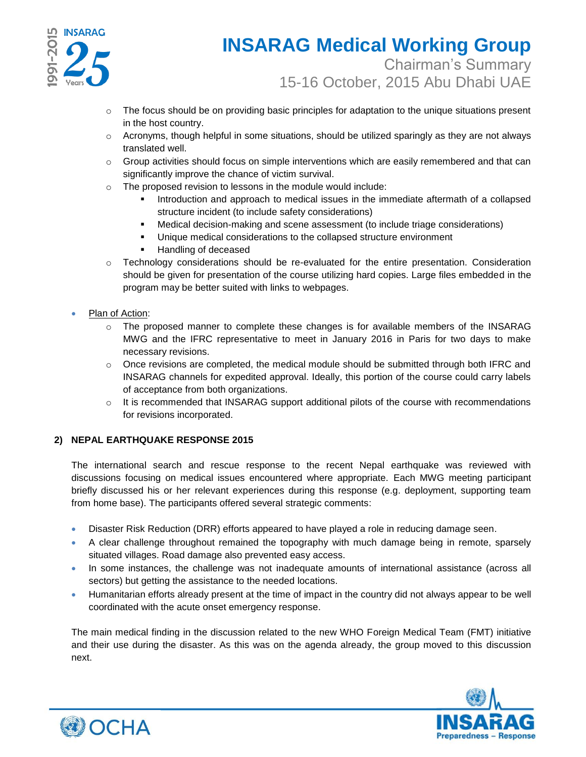

### **INSARAG Medical Working Group** Chairman's Summary 15-16 October, 2015 Abu Dhabi UAE

- $\circ$  The focus should be on providing basic principles for adaptation to the unique situations present in the host country.
- $\circ$  Acronyms, though helpful in some situations, should be utilized sparingly as they are not always translated well.
- $\circ$  Group activities should focus on simple interventions which are easily remembered and that can significantly improve the chance of victim survival.
- o The proposed revision to lessons in the module would include:
	- Introduction and approach to medical issues in the immediate aftermath of a collapsed structure incident (to include safety considerations)
	- Medical decision-making and scene assessment (to include triage considerations)
	- **Unique medical considerations to the collapsed structure environment**
	- **Handling of deceased**
- o Technology considerations should be re-evaluated for the entire presentation. Consideration should be given for presentation of the course utilizing hard copies. Large files embedded in the program may be better suited with links to webpages.
- Plan of Action:
	- o The proposed manner to complete these changes is for available members of the INSARAG MWG and the IFRC representative to meet in January 2016 in Paris for two days to make necessary revisions.
	- $\circ$  Once revisions are completed, the medical module should be submitted through both IFRC and INSARAG channels for expedited approval. Ideally, this portion of the course could carry labels of acceptance from both organizations.
	- $\circ$  It is recommended that INSARAG support additional pilots of the course with recommendations for revisions incorporated.

#### **2) NEPAL EARTHQUAKE RESPONSE 2015**

The international search and rescue response to the recent Nepal earthquake was reviewed with discussions focusing on medical issues encountered where appropriate. Each MWG meeting participant briefly discussed his or her relevant experiences during this response (e.g. deployment, supporting team from home base). The participants offered several strategic comments:

- Disaster Risk Reduction (DRR) efforts appeared to have played a role in reducing damage seen.
- A clear challenge throughout remained the topography with much damage being in remote, sparsely situated villages. Road damage also prevented easy access.
- In some instances, the challenge was not inadequate amounts of international assistance (across all sectors) but getting the assistance to the needed locations.
- Humanitarian efforts already present at the time of impact in the country did not always appear to be well coordinated with the acute onset emergency response.

The main medical finding in the discussion related to the new WHO Foreign Medical Team (FMT) initiative and their use during the disaster. As this was on the agenda already, the group moved to this discussion next.



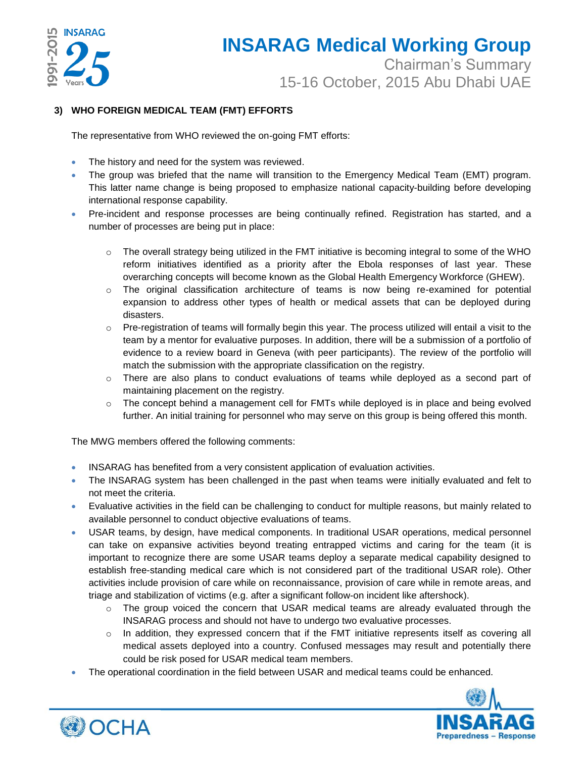

## **INSARAG Medical Working Group** Chairman's Summary 15-16 October, 2015 Abu Dhabi UAE

#### **3) WHO FOREIGN MEDICAL TEAM (FMT) EFFORTS**

The representative from WHO reviewed the on-going FMT efforts:

- The history and need for the system was reviewed.
- The group was briefed that the name will transition to the Emergency Medical Team (EMT) program. This latter name change is being proposed to emphasize national capacity-building before developing international response capability.
- Pre-incident and response processes are being continually refined. Registration has started, and a number of processes are being put in place:
	- $\circ$  The overall strategy being utilized in the FMT initiative is becoming integral to some of the WHO reform initiatives identified as a priority after the Ebola responses of last year. These overarching concepts will become known as the Global Health Emergency Workforce (GHEW).
	- $\circ$  The original classification architecture of teams is now being re-examined for potential expansion to address other types of health or medical assets that can be deployed during disasters.
	- $\circ$  Pre-registration of teams will formally begin this year. The process utilized will entail a visit to the team by a mentor for evaluative purposes. In addition, there will be a submission of a portfolio of evidence to a review board in Geneva (with peer participants). The review of the portfolio will match the submission with the appropriate classification on the registry.
	- o There are also plans to conduct evaluations of teams while deployed as a second part of maintaining placement on the registry.
	- o The concept behind a management cell for FMTs while deployed is in place and being evolved further. An initial training for personnel who may serve on this group is being offered this month.

The MWG members offered the following comments:

- INSARAG has benefited from a very consistent application of evaluation activities.
- The INSARAG system has been challenged in the past when teams were initially evaluated and felt to not meet the criteria.
- Evaluative activities in the field can be challenging to conduct for multiple reasons, but mainly related to available personnel to conduct objective evaluations of teams.
- USAR teams, by design, have medical components. In traditional USAR operations, medical personnel can take on expansive activities beyond treating entrapped victims and caring for the team (it is important to recognize there are some USAR teams deploy a separate medical capability designed to establish free-standing medical care which is not considered part of the traditional USAR role). Other activities include provision of care while on reconnaissance, provision of care while in remote areas, and triage and stabilization of victims (e.g. after a significant follow-on incident like aftershock).
	- o The group voiced the concern that USAR medical teams are already evaluated through the INSARAG process and should not have to undergo two evaluative processes.
	- $\circ$  In addition, they expressed concern that if the FMT initiative represents itself as covering all medical assets deployed into a country. Confused messages may result and potentially there could be risk posed for USAR medical team members.
- The operational coordination in the field between USAR and medical teams could be enhanced.



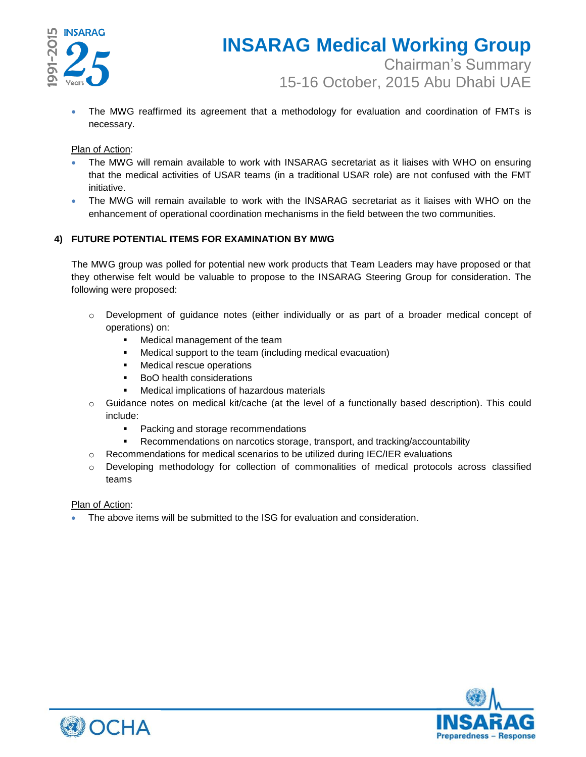

 The MWG reaffirmed its agreement that a methodology for evaluation and coordination of FMTs is necessary.

#### Plan of Action:

- The MWG will remain available to work with INSARAG secretariat as it liaises with WHO on ensuring that the medical activities of USAR teams (in a traditional USAR role) are not confused with the FMT initiative.
- The MWG will remain available to work with the INSARAG secretariat as it liaises with WHO on the enhancement of operational coordination mechanisms in the field between the two communities.

#### **4) FUTURE POTENTIAL ITEMS FOR EXAMINATION BY MWG**

The MWG group was polled for potential new work products that Team Leaders may have proposed or that they otherwise felt would be valuable to propose to the INSARAG Steering Group for consideration. The following were proposed:

- Development of guidance notes (either individually or as part of a broader medical concept of operations) on:
	- **Medical management of the team**
	- Medical support to the team (including medical evacuation)
	- **Medical rescue operations**
	- **BoO** health considerations
	- Medical implications of hazardous materials
- $\circ$  Guidance notes on medical kit/cache (at the level of a functionally based description). This could include:
	- Packing and storage recommendations
	- Recommendations on narcotics storage, transport, and tracking/accountability
- $\circ$  Recommendations for medical scenarios to be utilized during IEC/IER evaluations
- o Developing methodology for collection of commonalities of medical protocols across classified teams

#### Plan of Action:

The above items will be submitted to the ISG for evaluation and consideration.